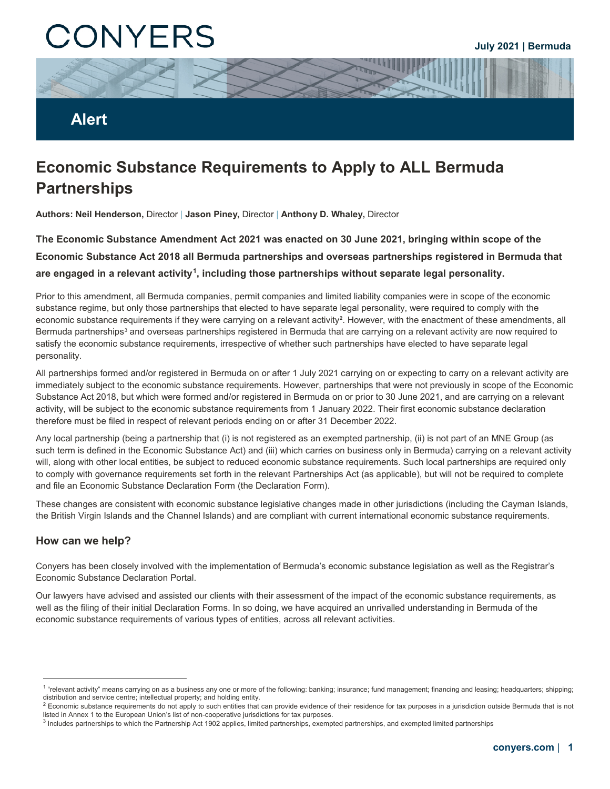# CONYERS

### **Alert**

## **Economic Substance Requirements to Apply to ALL Bermuda Partnerships**

**Authors: Neil Henderson,** Director | **Jason Piney,** Director | **Anthony D. Whaley,** Director

**The Economic Substance Amendment Act 2021 was enacted on 30 June 2021, bringing within scope of the Economic Substance Act 2018 all Bermuda partnerships and overseas partnerships registered in Bermuda that are engaged in a relevant activity[1](#page-0-0) , including those partnerships without separate legal personality.** 

Prior to this amendment, all Bermuda companies, permit companies and limited liability companies were in scope of the economic substance regime, but only those partnerships that elected to have separate legal personality, were required to comply with the economic substance requirements if they were carrying on a relevant activity<sup>[2](#page-0-1)</sup>. However, with the enactment of these amendments, all Bermuda partnerships<sup>[3](#page-0-2)</sup> and overseas partnerships registered in Bermuda that are carrying on a relevant activity are now required to satisfy the economic substance requirements, irrespective of whether such partnerships have elected to have separate legal personality.

All partnerships formed and/or registered in Bermuda on or after 1 July 2021 carrying on or expecting to carry on a relevant activity are immediately subject to the economic substance requirements. However, partnerships that were not previously in scope of the Economic Substance Act 2018, but which were formed and/or registered in Bermuda on or prior to 30 June 2021, and are carrying on a relevant activity, will be subject to the economic substance requirements from 1 January 2022. Their first economic substance declaration therefore must be filed in respect of relevant periods ending on or after 31 December 2022.

Any local partnership (being a partnership that (i) is not registered as an exempted partnership, (ii) is not part of an MNE Group (as such term is defined in the Economic Substance Act) and (iii) which carries on business only in Bermuda) carrying on a relevant activity will, along with other local entities, be subject to reduced economic substance requirements. Such local partnerships are required only to comply with governance requirements set forth in the relevant Partnerships Act (as applicable), but will not be required to complete and file an Economic Substance Declaration Form (the Declaration Form).

These changes are consistent with economic substance legislative changes made in other jurisdictions (including the Cayman Islands, the British Virgin Islands and the Channel Islands) and are compliant with current international economic substance requirements.

#### **How can we help?**

Conyers has been closely involved with the implementation of Bermuda's economic substance legislation as well as the Registrar's Economic Substance Declaration Portal.

Our lawyers have advised and assisted our clients with their assessment of the impact of the economic substance requirements, as well as the filing of their initial Declaration Forms. In so doing, we have acquired an unrivalled understanding in Bermuda of the economic substance requirements of various types of entities, across all relevant activities.

<span id="page-0-0"></span><sup>&</sup>lt;sup>1</sup> "relevant activity" means carrying on as a business any one or more of the following: banking; insurance; fund management; financing and leasing; headquarters; shipping; distribution and service centre; intellectual property; and holding entity.

<span id="page-0-1"></span> $2$  Economic substance requirements do not apply to such entities that can provide evidence of their residence for tax purposes in a jurisdiction outside Bermuda that is not listed in Annex 1 to the European Union's list of non-cooperative jurisdictions for tax purposes.

<span id="page-0-2"></span><sup>&</sup>lt;sup>3</sup> Includes partnerships to which the Partnership Act 1902 applies, limited partnerships, exempted partnerships, and exempted limited partnerships